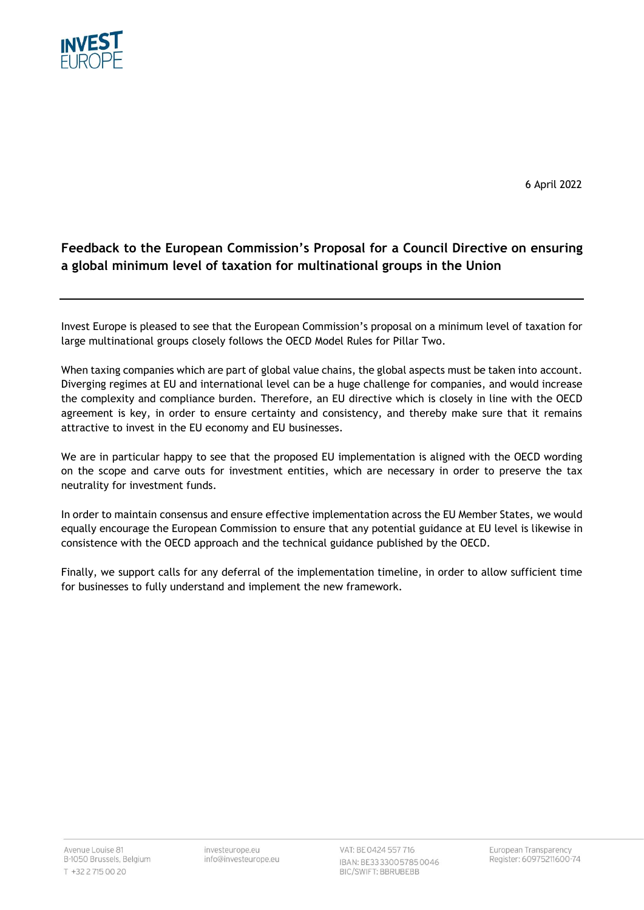

6 April 2022

## **Feedback to the European Commission's Proposal for a Council Directive on ensuring a global minimum level of taxation for multinational groups in the Union**

Invest Europe is pleased to see that the European Commission's proposal on a minimum level of taxation for large multinational groups closely follows the OECD Model Rules for Pillar Two.

When taxing companies which are part of global value chains, the global aspects must be taken into account. Diverging regimes at EU and international level can be a huge challenge for companies, and would increase the complexity and compliance burden. Therefore, an EU directive which is closely in line with the OECD agreement is key, in order to ensure certainty and consistency, and thereby make sure that it remains attractive to invest in the EU economy and EU businesses.

We are in particular happy to see that the proposed EU implementation is aligned with the OECD wording on the scope and carve outs for investment entities, which are necessary in order to preserve the tax neutrality for investment funds.

In order to maintain consensus and ensure effective implementation across the EU Member States, we would equally encourage the European Commission to ensure that any potential guidance at EU level is likewise in consistence with the OECD approach and the technical guidance published by the OECD.

Finally, we support calls for any deferral of the implementation timeline, in order to allow sufficient time for businesses to fully understand and implement the new framework.